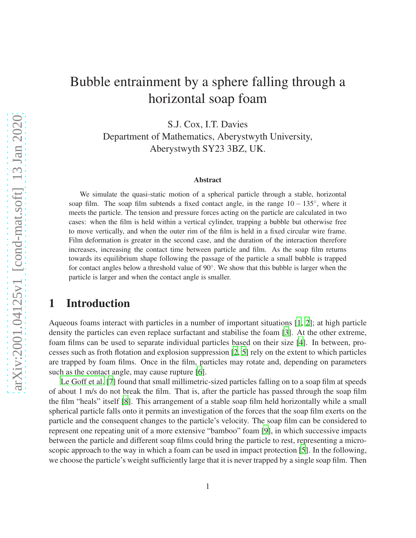# Bubble entrainment by a sphere falling through a horizontal soap foam

S.J. Cox, I.T. Davies Department of Mathematics, Aberystwyth University, Aberystwyth SY23 3BZ, UK.

#### Abstract

We simulate the quasi-static motion of a spherical particle through a stable, horizontal soap film. The soap film subtends a fixed contact angle, in the range 10 – 135°, where it meets the particle. The tension and pressure forces acting on the particle are calculated in two cases: when the film is held within a vertical cylinder, trapping a bubble but otherwise free to move vertically, and when the outer rim of the film is held in a fixed circular wire frame. Film deformation is greater in the second case, and the duration of the interaction therefore increases, increasing the contact time between particle and film. As the soap film returns towards its equilibrium shape following the passage of the particle a small bubble is trapped for contact angles below a threshold value of 90°. We show that this bubble is larger when the particle is larger and when the contact angle is smaller.

# <span id="page-0-0"></span>1 Introduction

Aqueous foams interact with particles in a number of important situations [\[1](#page-10-0), [2\]](#page-10-1); at high particle density the particles can even replace surfactant and stabilise the foam [\[3](#page-10-2)]. At the other extreme, foam films can be used to separate individual particles based on their size [\[4](#page-10-3)]. In between, processes such as froth flotation and explosion suppression [\[2](#page-10-1), [5](#page-11-0)] rely on the extent to which particles are trapped by foam films. Once in the film, particles may rotate and, depending on parameters such as the contact angle, may cause rupture [\[6](#page-11-1)].

[Le Goff et al. \[7](#page-11-2)] found that small millimetric-sized particles falling on to a soap film at speeds of about 1 m/s do not break the film. That is, after the particle has passed through the soap film the film "heals" itself [\[8\]](#page-11-3). This arrangement of a stable soap film held horizontally while a small spherical particle falls onto it permits an investigation of the forces that the soap film exerts on the particle and the consequent changes to the particle's velocity. The soap film can be considered to represent one repeating unit of a more extensive "bamboo" foam [\[9\]](#page-11-4), in which successive impacts between the particle and different soap films could bring the particle to rest, representing a microscopic approach to the way in which a foam can be used in impact protection [\[5\]](#page-11-0). In the following, we choose the particle's weight sufficiently large that it is never trapped by a single soap film. Then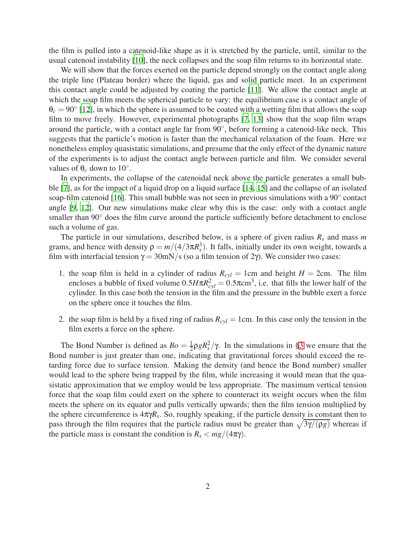the film is pulled into a catenoid-like shape as it is stretched by the particle, until, similar to the usual catenoid instability [\[10](#page-11-5)], the neck collapses and the soap film returns to its horizontal state.

We will show that the forces exerted on the particle depend strongly on the contact angle along the triple line (Plateau border) where the liquid, gas and solid particle meet. In an experiment this contact angle could be adjusted by coating the particle [\[11\]](#page-11-6). We allow the contact angle at which the soap film meets the spherical particle to vary: the equilibrium case is a contact angle of  $\theta_c = 90^\circ$  [\[12\]](#page-11-7), in which the sphere is assumed to be coated with a wetting film that allows the soap film to move freely. However, experimental photographs [\[7](#page-11-2), [13](#page-11-8)] show that the soap film wraps around the particle, with a contact angle far from 90°, before forming a catenoid-like neck. This suggests that the particle's motion is faster than the mechanical relaxation of the foam. Here we nonetheless employ quasistatic simulations, and presume that the only effect of the dynamic nature of the experiments is to adjust the contact angle between particle and film. We consider several values of  $\theta_c$  down to 10<sup>°</sup>.

In experiments, the collapse of the catenoidal neck above the particle generates a small bubble [\[7](#page-11-2)], as for the impact of a liquid drop on a liquid surface [\[14,](#page-11-9) [15](#page-11-10)] and the collapse of an isolated soap-film catenoid [\[16](#page-11-11)]. This small bubble was not seen in previous simulations with a 90° contact angle [\[9,](#page-11-4) [12](#page-11-7)]. Our new simulations make clear why this is the case: only with a contact angle smaller than 90° does the film curve around the particle sufficiently before detachment to enclose such a volume of gas.

The particle in our simulations, described below, is a sphere of given radius  $R_s$  and mass m grams, and hence with density  $\rho = m/(4/3\pi R_s^3)$ . It falls, initially under its own weight, towards a film with interfacial tension  $\gamma = 30$ mN/s (so a film tension of 2γ). We consider two cases:

- 1. the soap film is held in a cylinder of radius  $R_{cyl} = 1$ cm and height  $H = 2$ cm. The film encloses a bubble of fixed volume  $0.5H\pi R_{cyl}^2 = 0.5\pi\text{cm}^3$ , i.e. that fills the lower half of the cylinder. In this case both the tension in the film and the pressure in the bubble exert a force on the sphere once it touches the film.
- 2. the soap film is held by a fixed ring of radius  $R_{cyl} = 1$ cm. In this case only the tension in the film exerts a force on the sphere.

The Bond Number is defined as  $Bo = \frac{1}{2}$  $\frac{1}{2} \rho g R_s^2 / \gamma$ . In the simulations in [§3](#page-4-0) we ensure that the Bond number is just greater than one, indicating that gravitational forces should exceed the retarding force due to surface tension. Making the density (and hence the Bond number) smaller would lead to the sphere being trapped by the film, while increasing it would mean that the quasistatic approximation that we employ would be less appropriate. The maximum vertical tension force that the soap film could exert on the sphere to counteract its weight occurs when the film meets the sphere on its equator and pulls vertically upwards; then the film tension multiplied by the sphere circumference is  $4\pi\gamma R_s$ . So, roughly speaking, if the particle density is constant then to pass through the film requires that the particle radius must be greater than  $\sqrt{3\gamma/(\rho g)}$  whereas if the particle mass is constant the condition is  $R_s < mg/(4\pi\gamma)$ .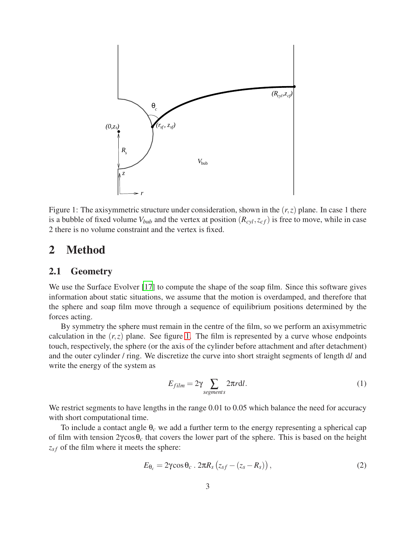

<span id="page-2-0"></span>Figure 1: The axisymmetric structure under consideration, shown in the (*r*,*z*) plane. In case 1 there is a bubble of fixed volume  $V_{bub}$  and the vertex at position  $(R_{cyl}, z_{cf})$  is free to move, while in case 2 there is no volume constraint and the vertex is fixed.

#### 2 Method

#### 2.1 Geometry

We use the Surface Evolver [\[17](#page-11-12)] to compute the shape of the soap film. Since this software gives information about static situations, we assume that the motion is overdamped, and therefore that the sphere and soap film move through a sequence of equilibrium positions determined by the forces acting.

By symmetry the sphere must remain in the centre of the film, so we perform an axisymmetric calculation in the  $(r, z)$  plane. See figure [1.](#page-2-0) The film is represented by a curve whose endpoints touch, respectively, the sphere (or the axis of the cylinder before attachment and after detachment) and the outer cylinder / ring. We discretize the curve into short straight segments of length d*l* and write the energy of the system as

$$
E_{film} = 2\gamma \sum_{segments} 2\pi r \, dl. \tag{1}
$$

We restrict segments to have lengths in the range 0.01 to 0.05 which balance the need for accuracy with short computational time.

To include a contact angle  $\theta_c$  we add a further term to the energy representing a spherical cap of film with tension 2γcosθ*<sup>c</sup>* that covers the lower part of the sphere. This is based on the height *z*<sub>sf</sub> of the film where it meets the sphere:

$$
E_{\theta_c} = 2\gamma \cos \theta_c \cdot 2\pi R_s \left( z_{sf} - (z_s - R_s) \right), \qquad (2)
$$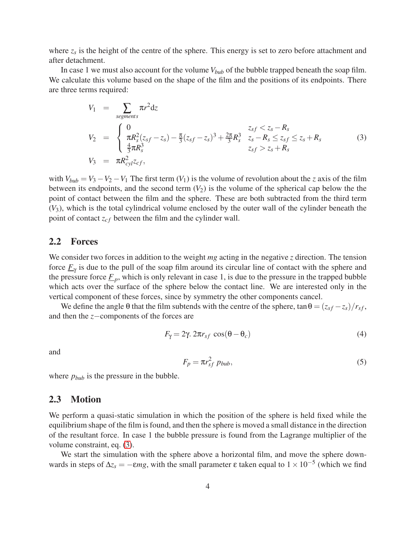where  $z_s$  is the height of the centre of the sphere. This energy is set to zero before attachment and after detachment.

In case 1 we must also account for the volume *Vbub* of the bubble trapped beneath the soap film. We calculate this volume based on the shape of the film and the positions of its endpoints. There are three terms required:

<span id="page-3-0"></span>
$$
V_1 = \sum_{segments} \pi r^2 dz
$$
  
\n
$$
V_2 = \begin{cases} 0 & z_{sf} < z_s - R_s \\ \pi R_s^2 (z_{sf} - z_s) - \frac{\pi}{3} (z_{sf} - z_s)^3 + \frac{2\pi}{3} R_s^3 & z_s - R_s \le z_{sf} \le z_s + R_s \\ \frac{4}{3} \pi R_s^3 & z_{sf} > z_s + R_s \end{cases}
$$
(3)  
\n
$$
V_3 = \pi R_{cyl}^2 z_{cf},
$$

with  $V_{bub} = V_3 - V_2 - V_1$  The first term  $(V_1)$  is the volume of revolution about the *z* axis of the film between its endpoints, and the second term  $(V_2)$  is the volume of the spherical cap below the the point of contact between the film and the sphere. These are both subtracted from the third term (*V*3), which is the total cylindrical volume enclosed by the outer wall of the cylinder beneath the point of contact  $z_{cf}$  between the film and the cylinder wall.

#### 2.2 Forces

We consider two forces in addition to the weight *mg* acting in the negative *z* direction. The tension force  $\underline{F}_{\gamma}$  is due to the pull of the soap film around its circular line of contact with the sphere and the pressure force  $\underline{F}_p$ , which is only relevant in case 1, is due to the pressure in the trapped bubble which acts over the surface of the sphere below the contact line. We are interested only in the vertical component of these forces, since by symmetry the other components cancel.

We define the angle  $\theta$  that the film subtends with the centre of the sphere, tan  $\theta = (z_{sf} - z_s)/r_{sf}$ , and then the *z*−components of the forces are

$$
F_{\gamma} = 2\gamma \cdot 2\pi r_{sf} \cos(\theta - \theta_c) \tag{4}
$$

and

<span id="page-3-1"></span>
$$
F_p = \pi r_{sf}^2 \; p_{bub},\tag{5}
$$

where  $p_{bub}$  is the pressure in the bubble.

#### 2.3 Motion

We perform a quasi-static simulation in which the position of the sphere is held fixed while the equilibrium shape of the film is found, and then the sphere is moved a small distance in the direction of the resultant force. In case 1 the bubble pressure is found from the Lagrange multiplier of the volume constraint, eq. [\(3\)](#page-3-0).

We start the simulation with the sphere above a horizontal film, and move the sphere downwards in steps of  $\Delta z$ <sup>*s*</sup> = −*εmg*, with the small parameter  $\varepsilon$  taken equal to  $1 \times 10^{-5}$  (which we find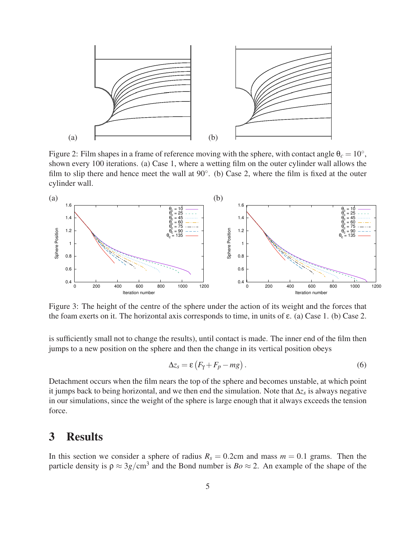

<span id="page-4-1"></span>Figure 2: Film shapes in a frame of reference moving with the sphere, with contact angle  $\theta_c = 10^\circ$ , shown every 100 iterations. (a) Case 1, where a wetting film on the outer cylinder wall allows the film to slip there and hence meet the wall at  $90^\circ$ . (b) Case 2, where the film is fixed at the outer cylinder wall.



<span id="page-4-2"></span>Figure 3: The height of the centre of the sphere under the action of its weight and the forces that the foam exerts on it. The horizontal axis corresponds to time, in units of  $\varepsilon$ . (a) Case 1. (b) Case 2.

is sufficiently small not to change the results), until contact is made. The inner end of the film then jumps to a new position on the sphere and then the change in its vertical position obeys

$$
\Delta z_s = \varepsilon \left( F_\gamma + F_p - mg \right). \tag{6}
$$

Detachment occurs when the film nears the top of the sphere and becomes unstable, at which point it jumps back to being horizontal, and we then end the simulation. Note that ∆*z<sup>s</sup>* is always negative in our simulations, since the weight of the sphere is large enough that it always exceeds the tension force.

### <span id="page-4-0"></span>3 Results

In this section we consider a sphere of radius  $R_s = 0.2$ cm and mass  $m = 0.1$  grams. Then the particle density is  $\rho \approx 3g/cm^3$  and the Bond number is  $Bo \approx 2$ . An example of the shape of the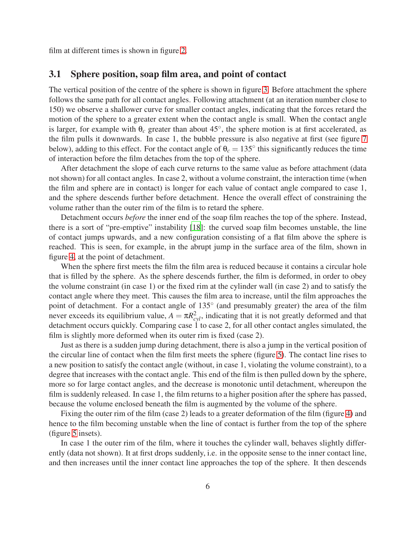film at different times is shown in figure [2.](#page-4-1)

#### 3.1 Sphere position, soap film area, and point of contact

The vertical position of the centre of the sphere is shown in figure [3.](#page-4-2) Before attachment the sphere follows the same path for all contact angles. Following attachment (at an iteration number close to 150) we observe a shallower curve for smaller contact angles, indicating that the forces retard the motion of the sphere to a greater extent when the contact angle is small. When the contact angle is larger, for example with  $\theta_c$  greater than about 45 $\degree$ , the sphere motion is at first accelerated, as the film pulls it downwards. In case 1, the bubble pressure is also negative at first (see figure [7](#page-7-0) below), adding to this effect. For the contact angle of  $\theta_c = 135^\circ$  this significantly reduces the time of interaction before the film detaches from the top of the sphere.

After detachment the slope of each curve returns to the same value as before attachment (data not shown) for all contact angles. In case 2, without a volume constraint, the interaction time (when the film and sphere are in contact) is longer for each value of contact angle compared to case 1, and the sphere descends further before detachment. Hence the overall effect of constraining the volume rather than the outer rim of the film is to retard the sphere.

Detachment occurs *before* the inner end of the soap film reaches the top of the sphere. Instead, there is a sort of "pre-emptive" instability [\[18](#page-11-13)]: the curved soap film becomes unstable, the line of contact jumps upwards, and a new configuration consisting of a flat film above the sphere is reached. This is seen, for example, in the abrupt jump in the surface area of the film, shown in figure [4,](#page-6-0) at the point of detachment.

When the sphere first meets the film the film area is reduced because it contains a circular hole that is filled by the sphere. As the sphere descends further, the film is deformed, in order to obey the volume constraint (in case 1) or the fixed rim at the cylinder wall (in case 2) and to satisfy the contact angle where they meet. This causes the film area to increase, until the film approaches the point of detachment. For a contact angle of 135° (and presumably greater) the area of the film never exceeds its equilibrium value,  $A = \pi R_{cyl}^2$ , indicating that it is not greatly deformed and that detachment occurs quickly. Comparing case  $\dot{1}$  to case 2, for all other contact angles simulated, the film is slightly more deformed when its outer rim is fixed (case 2).

Just as there is a sudden jump during detachment, there is also a jump in the vertical position of the circular line of contact when the film first meets the sphere (figure [5\)](#page-6-1). The contact line rises to a new position to satisfy the contact angle (without, in case 1, violating the volume constraint), to a degree that increases with the contact angle. This end of the film is then pulled down by the sphere, more so for large contact angles, and the decrease is monotonic until detachment, whereupon the film is suddenly released. In case 1, the film returns to a higher position after the sphere has passed, because the volume enclosed beneath the film is augmented by the volume of the sphere.

Fixing the outer rim of the film (case 2) leads to a greater deformation of the film (figure [4\)](#page-6-0) and hence to the film becoming unstable when the line of contact is further from the top of the sphere (figure [5](#page-6-1) insets).

In case 1 the outer rim of the film, where it touches the cylinder wall, behaves slightly differently (data not shown). It at first drops suddenly, i.e. in the opposite sense to the inner contact line, and then increases until the inner contact line approaches the top of the sphere. It then descends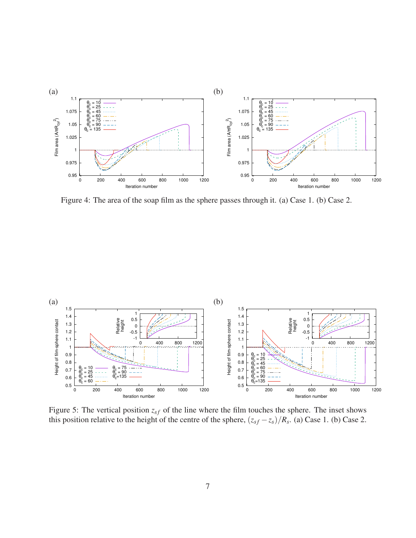

<span id="page-6-0"></span>Figure 4: The area of the soap film as the sphere passes through it. (a) Case 1. (b) Case 2.



<span id="page-6-1"></span>Figure 5: The vertical position  $z_{sf}$  of the line where the film touches the sphere. The inset shows this position relative to the height of the centre of the sphere,  $(z_{sf} - z_s)/R_s$ . (a) Case 1. (b) Case 2.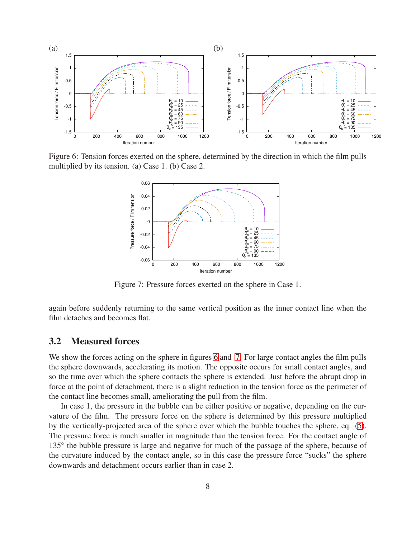

<span id="page-7-1"></span>Figure 6: Tension forces exerted on the sphere, determined by the direction in which the film pulls multiplied by its tension. (a) Case 1. (b) Case 2.



<span id="page-7-0"></span>Figure 7: Pressure forces exerted on the sphere in Case 1.

again before suddenly returning to the same vertical position as the inner contact line when the film detaches and becomes flat.

#### 3.2 Measured forces

We show the forces acting on the sphere in figures [6](#page-7-1) and [7.](#page-7-0) For large contact angles the film pulls the sphere downwards, accelerating its motion. The opposite occurs for small contact angles, and so the time over which the sphere contacts the sphere is extended. Just before the abrupt drop in force at the point of detachment, there is a slight reduction in the tension force as the perimeter of the contact line becomes small, ameliorating the pull from the film.

In case 1, the pressure in the bubble can be either positive or negative, depending on the curvature of the film. The pressure force on the sphere is determined by this pressure multiplied by the vertically-projected area of the sphere over which the bubble touches the sphere, eq. [\(5\)](#page-3-1). The pressure force is much smaller in magnitude than the tension force. For the contact angle of 135° the bubble pressure is large and negative for much of the passage of the sphere, because of the curvature induced by the contact angle, so in this case the pressure force "sucks" the sphere downwards and detachment occurs earlier than in case 2.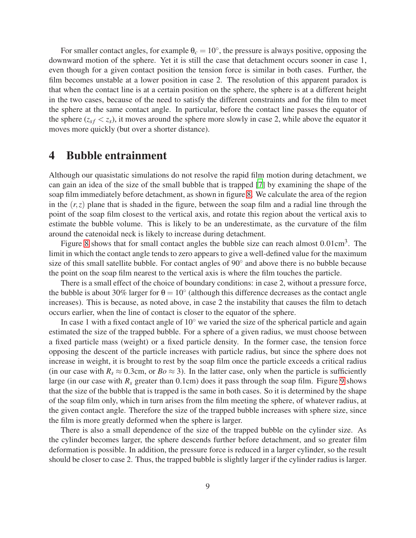For smaller contact angles, for example  $\theta_c = 10^\circ$ , the pressure is always positive, opposing the downward motion of the sphere. Yet it is still the case that detachment occurs sooner in case 1, even though for a given contact position the tension force is similar in both cases. Further, the film becomes unstable at a lower position in case 2. The resolution of this apparent paradox is that when the contact line is at a certain position on the sphere, the sphere is at a different height in the two cases, because of the need to satisfy the different constraints and for the film to meet the sphere at the same contact angle. In particular, before the contact line passes the equator of the sphere ( $z_{sf} < z_{s}$ ), it moves around the sphere more slowly in case 2, while above the equator it moves more quickly (but over a shorter distance).

## 4 Bubble entrainment

Although our quasistatic simulations do not resolve the rapid film motion during detachment, we can gain an idea of the size of the small bubble that is trapped [\[7](#page-11-2)] by examining the shape of the soap film immediately before detachment, as shown in figure [8.](#page-9-0) We calculate the area of the region in the  $(r, z)$  plane that is shaded in the figure, between the soap film and a radial line through the point of the soap film closest to the vertical axis, and rotate this region about the vertical axis to estimate the bubble volume. This is likely to be an underestimate, as the curvature of the film around the catenoidal neck is likely to increase during detachment.

Figure [8](#page-9-0) shows that for small contact angles the bubble size can reach almost  $0.01 \text{cm}^3$ . The limit in which the contact angle tends to zero appears to give a well-defined value for the maximum size of this small satellite bubble. For contact angles of 90 $^{\circ}$  and above there is no bubble because the point on the soap film nearest to the vertical axis is where the film touches the particle.

There is a small effect of the choice of boundary conditions: in case 2, without a pressure force, the bubble is about 30% larger for  $\theta = 10^{\circ}$  (although this difference decreases as the contact angle increases). This is because, as noted above, in case 2 the instability that causes the film to detach occurs earlier, when the line of contact is closer to the equator of the sphere.

In case 1 with a fixed contact angle of  $10<sup>°</sup>$  we varied the size of the spherical particle and again estimated the size of the trapped bubble. For a sphere of a given radius, we must choose between a fixed particle mass (weight) or a fixed particle density. In the former case, the tension force opposing the descent of the particle increases with particle radius, but since the sphere does not increase in weight, it is brought to rest by the soap film once the particle exceeds a critical radius (in our case with  $R_s \approx 0.3$ cm, or  $Bo \approx 3$ ). In the latter case, only when the particle is sufficiently large (in our case with  $R_s$  greater than 0.1cm) does it pass through the soap film. Figure [9](#page-10-4) shows that the size of the bubble that is trapped is the same in both cases. So it is determined by the shape of the soap film only, which in turn arises from the film meeting the sphere, of whatever radius, at the given contact angle. Therefore the size of the trapped bubble increases with sphere size, since the film is more greatly deformed when the sphere is larger.

There is also a small dependence of the size of the trapped bubble on the cylinder size. As the cylinder becomes larger, the sphere descends further before detachment, and so greater film deformation is possible. In addition, the pressure force is reduced in a larger cylinder, so the result should be closer to case 2. Thus, the trapped bubble is slightly larger if the cylinder radius is larger.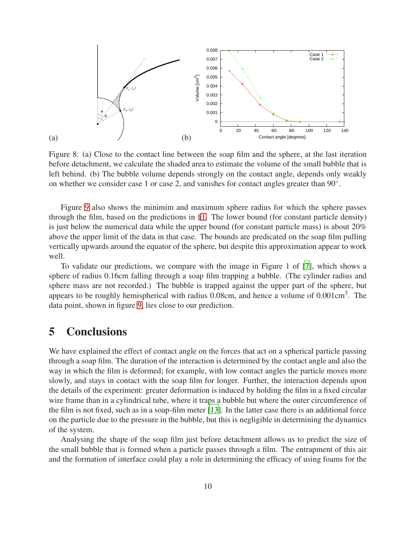

<span id="page-9-0"></span>Figure 8: (a) Close to the contact line between the soap film and the sphere, at the last iteration before detachment, we calculate the shaded area to estimate the volume of the small bubble that is left behind. (b) The bubble volume depends strongly on the contact angle, depends only weakly on whether we consider case 1 or case 2, and vanishes for contact angles greater than 90°.

Figure [9](#page-10-4) also shows the minimim and maximum sphere radius for which the sphere passes through the film, based on the predictions in [§1.](#page-0-0) The lower bound (for constant particle density) is just below the numerical data while the upper bound (for constant particle mass) is about 20% above the upper limit of the data in that case. The bounds are predicated on the soap film pulling vertically upwards around the equator of the sphere, but despite this approximation appear to work well.

To validate our predictions, we compare with the image in Figure 1 of [\[7](#page-11-2)], which shows a sphere of radius 0.16cm falling through a soap film trapping a bubble. (The cylinder radius and sphere mass are not recorded.) The bubble is trapped against the upper part of the sphere, but appears to be roughly hemispherical with radius  $0.08$ cm, and hence a volume of  $0.001$ cm<sup>3</sup>. The data point, shown in figure [9,](#page-10-4) lies close to our prediction.

## 5 Conclusions

We have explained the effect of contact angle on the forces that act on a spherical particle passing through a soap film. The duration of the interaction is determined by the contact angle and also the way in which the film is deformed; for example, with low contact angles the particle moves more slowly, and stays in contact with the soap film for longer. Further, the interaction depends upon the details of the experiment: greater deformation is induced by holding the film in a fixed circular wire frame than in a cylindrical tube, where it traps a bubble but where the outer circumference of the film is not fixed, such as in a soap-film meter [\[13](#page-11-8)]. In the latter case there is an additional force on the particle due to the pressure in the bubble, but this is negligible in determining the dynamics of the system.

Analysing the shape of the soap film just before detachment allows us to predict the size of the small bubble that is formed when a particle passes through a film. The entrapment of this air and the formation of interface could play a role in determining the efficacy of using foams for the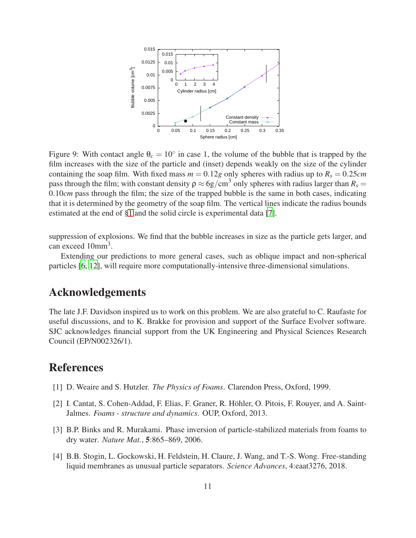

<span id="page-10-4"></span>Figure 9: With contact angle  $\theta_c = 10^\circ$  in case 1, the volume of the bubble that is trapped by the film increases with the size of the particle and (inset) depends weakly on the size of the cylinder containing the soap film. With fixed mass  $m = 0.12g$  only spheres with radius up to  $R_s = 0.25cm$ pass through the film; with constant density  $\rho \approx 6g/cm^3$  only spheres with radius larger than  $R_s =$ 0.10*cm* pass through the film; the size of the trapped bubble is the same in both cases, indicating that it is determined by the geometry of the soap film. The vertical lines indicate the radius bounds estimated at the end of [§1](#page-0-0) and the solid circle is experimental data [\[7\]](#page-11-2).

suppression of explosions. We find that the bubble increases in size as the particle gets larger, and can exceed  $10mm<sup>3</sup>$ .

Extending our predictions to more general cases, such as oblique impact and non-spherical particles [\[6](#page-11-1), [12](#page-11-7)], will require more computationally-intensive three-dimensional simulations.

### Acknowledgements

The late J.F. Davidson inspired us to work on this problem. We are also grateful to C. Raufaste for useful discussions, and to K. Brakke for provision and support of the Surface Evolver software. SJC acknowledges financial support from the UK Engineering and Physical Sciences Research Council (EP/N002326/1).

# References

- <span id="page-10-0"></span>[1] D. Weaire and S. Hutzler. *The Physics of Foams*. Clarendon Press, Oxford, 1999.
- <span id="page-10-1"></span>[2] I. Cantat, S. Cohen-Addad, F. Elias, F. Graner, R. Höhler, O. Pitois, F. Rouyer, and A. Saint-Jalmes. *Foams - structure and dynamics*. OUP, Oxford, 2013.
- <span id="page-10-2"></span>[3] B.P. Binks and R. Murakami. Phase inversion of particle-stabilized materials from foams to dry water. *Nature Mat.*, 5:865–869, 2006.
- <span id="page-10-3"></span>[4] B.B. Stogin, L. Gockowski, H. Feldstein, H. Claure, J. Wang, and T.-S. Wong. Free-standing liquid membranes as unusual particle separators. *Science Advances*, 4:eaat3276, 2018.